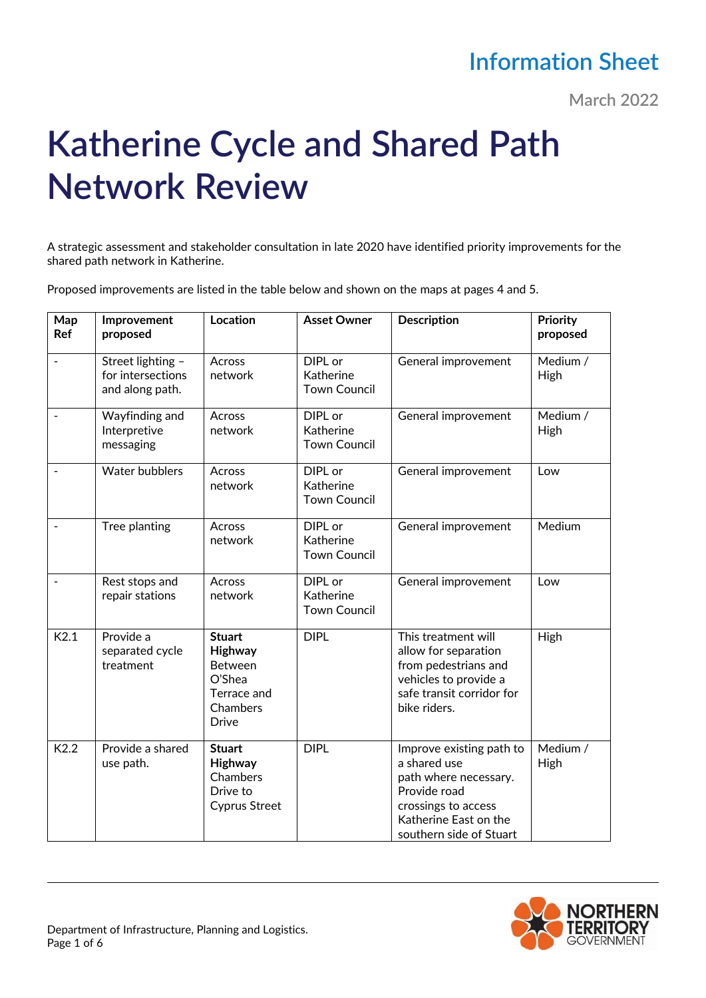## **Information Sheet**

**March 2022**

## **Katherine Cycle and Shared Path Network Review**

A strategic assessment and stakeholder consultation in late 2020 have identified priority improvements for the shared path network in Katherine.

Proposed improvements are listed in the table below and shown on the maps at pages 4 and 5.

| Map<br>Ref               | Improvement<br>proposed                                   | Location                                                                                        | <b>Asset Owner</b>                                 | <b>Description</b>                                                                                                                                           | Priority<br>proposed    |
|--------------------------|-----------------------------------------------------------|-------------------------------------------------------------------------------------------------|----------------------------------------------------|--------------------------------------------------------------------------------------------------------------------------------------------------------------|-------------------------|
| $\frac{1}{2}$            | Street lighting -<br>for intersections<br>and along path. | Across<br>network                                                                               | DIPL or<br>Katherine<br><b>Town Council</b>        | General improvement                                                                                                                                          | Medium /<br>High        |
|                          | Wayfinding and<br>Interpretive<br>messaging               | Across<br>network                                                                               | DIPL or<br>Katherine<br><b>Town Council</b>        | General improvement                                                                                                                                          | Medium /<br><b>High</b> |
|                          | <b>Water bubblers</b>                                     | Across<br>network                                                                               | DIPL or<br><b>Katherine</b><br><b>Town Council</b> | General improvement                                                                                                                                          | Low                     |
|                          | Tree planting                                             | Across<br>network                                                                               | DIPL or<br>Katherine<br><b>Town Council</b>        | General improvement                                                                                                                                          | Medium                  |
| $\overline{\phantom{a}}$ | Rest stops and<br>repair stations                         | Across<br>network                                                                               | DIPL or<br><b>Katherine</b><br><b>Town Council</b> | General improvement                                                                                                                                          | Low                     |
| K2.1                     | Provide a<br>separated cycle<br>treatment                 | <b>Stuart</b><br>Highway<br><b>Between</b><br>O'Shea<br>Terrace and<br>Chambers<br><b>Drive</b> | <b>DIPL</b>                                        | This treatment will<br>allow for separation<br>from pedestrians and<br>vehicles to provide a<br>safe transit corridor for<br>bike riders.                    | High                    |
| K2.2                     | Provide a shared<br>use path.                             | <b>Stuart</b><br>Highway<br>Chambers<br>Drive to<br><b>Cyprus Street</b>                        | <b>DIPL</b>                                        | Improve existing path to<br>a shared use<br>path where necessary.<br>Provide road<br>crossings to access<br>Katherine East on the<br>southern side of Stuart | Medium /<br>High        |

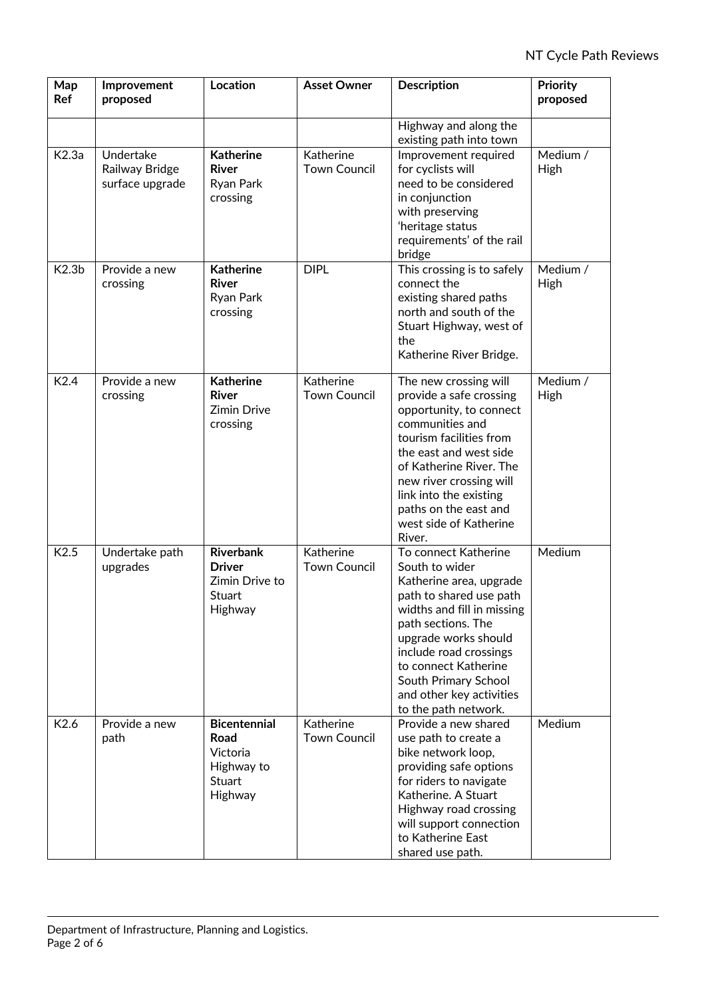| Map<br>Ref        | Improvement<br>proposed                        | Location                                                                   | <b>Asset Owner</b>               | <b>Description</b>                                                                                                                                                                                                                                                                                     | Priority<br>proposed |
|-------------------|------------------------------------------------|----------------------------------------------------------------------------|----------------------------------|--------------------------------------------------------------------------------------------------------------------------------------------------------------------------------------------------------------------------------------------------------------------------------------------------------|----------------------|
|                   |                                                |                                                                            |                                  | Highway and along the<br>existing path into town                                                                                                                                                                                                                                                       |                      |
| K2.3a             | Undertake<br>Railway Bridge<br>surface upgrade | <b>Katherine</b><br><b>River</b><br>Ryan Park<br>crossing                  | Katherine<br><b>Town Council</b> | Improvement required<br>for cyclists will<br>need to be considered<br>in conjunction<br>with preserving<br>'heritage status<br>requirements' of the rail<br>bridge                                                                                                                                     | Medium /<br>High     |
| K2.3 <sub>b</sub> | Provide a new<br>crossing                      | <b>Katherine</b><br><b>River</b><br>Ryan Park<br>crossing                  | <b>DIPL</b>                      | This crossing is to safely<br>connect the<br>existing shared paths<br>north and south of the<br>Stuart Highway, west of<br>the<br>Katherine River Bridge.                                                                                                                                              | Medium /<br>High     |
| K <sub>2.4</sub>  | Provide a new<br>crossing                      | <b>Katherine</b><br>River<br><b>Zimin Drive</b><br>crossing                | Katherine<br><b>Town Council</b> | The new crossing will<br>provide a safe crossing<br>opportunity, to connect<br>communities and<br>tourism facilities from<br>the east and west side<br>of Katherine River. The<br>new river crossing will<br>link into the existing<br>paths on the east and<br>west side of Katherine<br>River.       | Medium /<br>High     |
| K2.5              | Undertake path<br>upgrades                     | <b>Riverbank</b><br><b>Driver</b><br>Zimin Drive to<br>Stuart<br>Highway   | Katherine<br><b>Town Council</b> | To connect Katherine<br>South to wider<br>Katherine area, upgrade<br>path to shared use path<br>widths and fill in missing<br>path sections. The<br>upgrade works should<br>include road crossings<br>to connect Katherine<br>South Primary School<br>and other key activities<br>to the path network. | Medium               |
| K2.6              | Provide a new<br>path                          | <b>Bicentennial</b><br>Road<br>Victoria<br>Highway to<br>Stuart<br>Highway | Katherine<br><b>Town Council</b> | Provide a new shared<br>use path to create a<br>bike network loop,<br>providing safe options<br>for riders to navigate<br>Katherine. A Stuart<br>Highway road crossing<br>will support connection<br>to Katherine East<br>shared use path.                                                             | Medium               |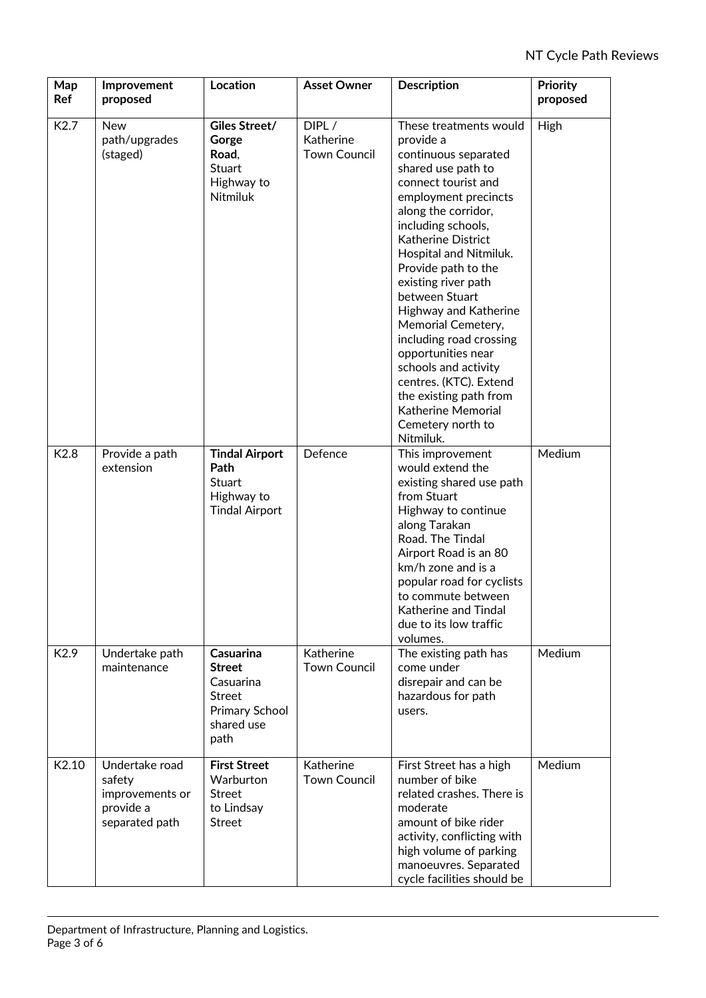| Map<br>Ref        | Improvement<br>proposed                                                    | <b>Location</b>                                                                                  | <b>Asset Owner</b>                        | <b>Description</b>                                                                                                                                                                                                                                                                                                                                                                                                                                                                                                                       | <b>Priority</b><br>proposed |
|-------------------|----------------------------------------------------------------------------|--------------------------------------------------------------------------------------------------|-------------------------------------------|------------------------------------------------------------------------------------------------------------------------------------------------------------------------------------------------------------------------------------------------------------------------------------------------------------------------------------------------------------------------------------------------------------------------------------------------------------------------------------------------------------------------------------------|-----------------------------|
| K <sub>2.7</sub>  | <b>New</b><br>path/upgrades<br>(staged)                                    | Giles Street/<br>Gorge<br>Road,<br>Stuart<br>Highway to<br><b>Nitmiluk</b>                       | DIPL/<br>Katherine<br><b>Town Council</b> | These treatments would<br>provide a<br>continuous separated<br>shared use path to<br>connect tourist and<br>employment precincts<br>along the corridor,<br>including schools,<br>Katherine District<br>Hospital and Nitmiluk.<br>Provide path to the<br>existing river path<br>between Stuart<br>Highway and Katherine<br>Memorial Cemetery,<br>including road crossing<br>opportunities near<br>schools and activity<br>centres. (KTC). Extend<br>the existing path from<br><b>Katherine Memorial</b><br>Cemetery north to<br>Nitmiluk. | High                        |
| K2.8              | Provide a path<br>extension                                                | <b>Tindal Airport</b><br>Path<br>Stuart<br>Highway to<br><b>Tindal Airport</b>                   | Defence                                   | This improvement<br>would extend the<br>existing shared use path<br>from Stuart<br>Highway to continue<br>along Tarakan<br>Road. The Tindal<br>Airport Road is an 80<br>km/h zone and is a<br>popular road for cyclists<br>to commute between<br>Katherine and Tindal<br>due to its low traffic<br>volumes.                                                                                                                                                                                                                              | Medium                      |
| K <sub>2.9</sub>  | Undertake path<br>maintenance                                              | Casuarina<br><b>Street</b><br>Casuarina<br><b>Street</b><br>Primary School<br>shared use<br>path | <b>Katherine</b><br><b>Town Council</b>   | The existing path has<br>come under<br>disrepair and can be<br>hazardous for path<br>users.                                                                                                                                                                                                                                                                                                                                                                                                                                              | Medium                      |
| K <sub>2.10</sub> | Undertake road<br>safety<br>improvements or<br>provide a<br>separated path | <b>First Street</b><br>Warburton<br>Street<br>to Lindsay<br><b>Street</b>                        | <b>Katherine</b><br><b>Town Council</b>   | First Street has a high<br>number of bike<br>related crashes. There is<br>moderate<br>amount of bike rider<br>activity, conflicting with<br>high volume of parking<br>manoeuvres. Separated<br>cycle facilities should be                                                                                                                                                                                                                                                                                                                | Medium                      |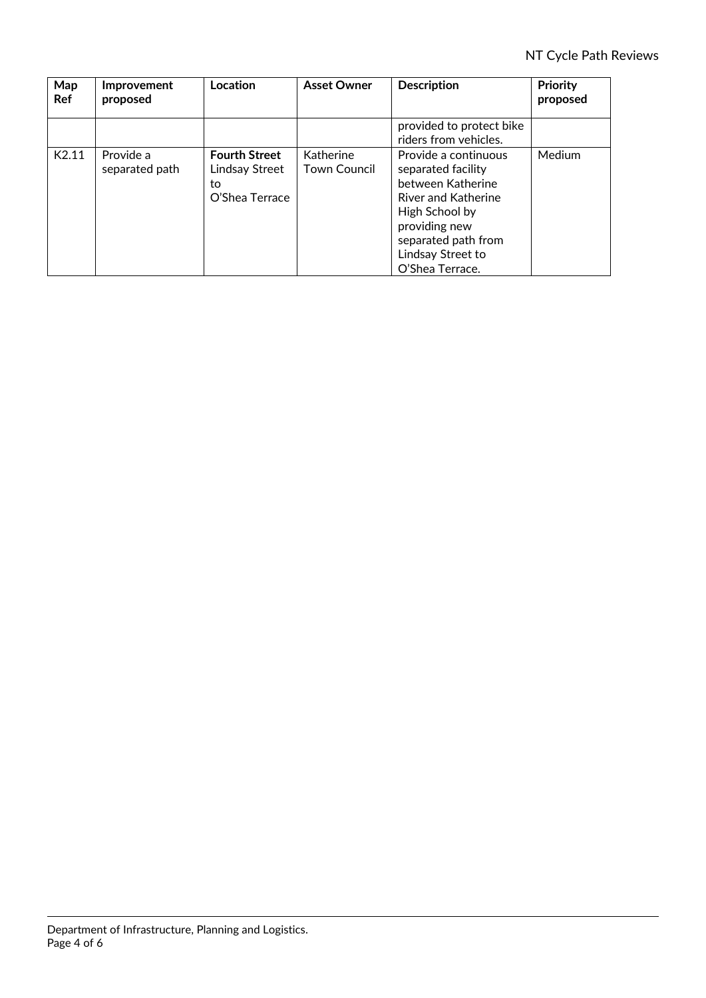| Map<br>Ref        | Improvement<br>proposed     | Location                                                       | <b>Asset Owner</b>               | <b>Description</b>                                                                                                                                                                       | Priority<br>proposed |
|-------------------|-----------------------------|----------------------------------------------------------------|----------------------------------|------------------------------------------------------------------------------------------------------------------------------------------------------------------------------------------|----------------------|
|                   |                             |                                                                |                                  | provided to protect bike<br>riders from vehicles.                                                                                                                                        |                      |
| K <sub>2.11</sub> | Provide a<br>separated path | <b>Fourth Street</b><br>Lindsay Street<br>to<br>O'Shea Terrace | Katherine<br><b>Town Council</b> | Provide a continuous<br>separated facility<br>between Katherine<br>River and Katherine<br>High School by<br>providing new<br>separated path from<br>Lindsay Street to<br>O'Shea Terrace. | Medium               |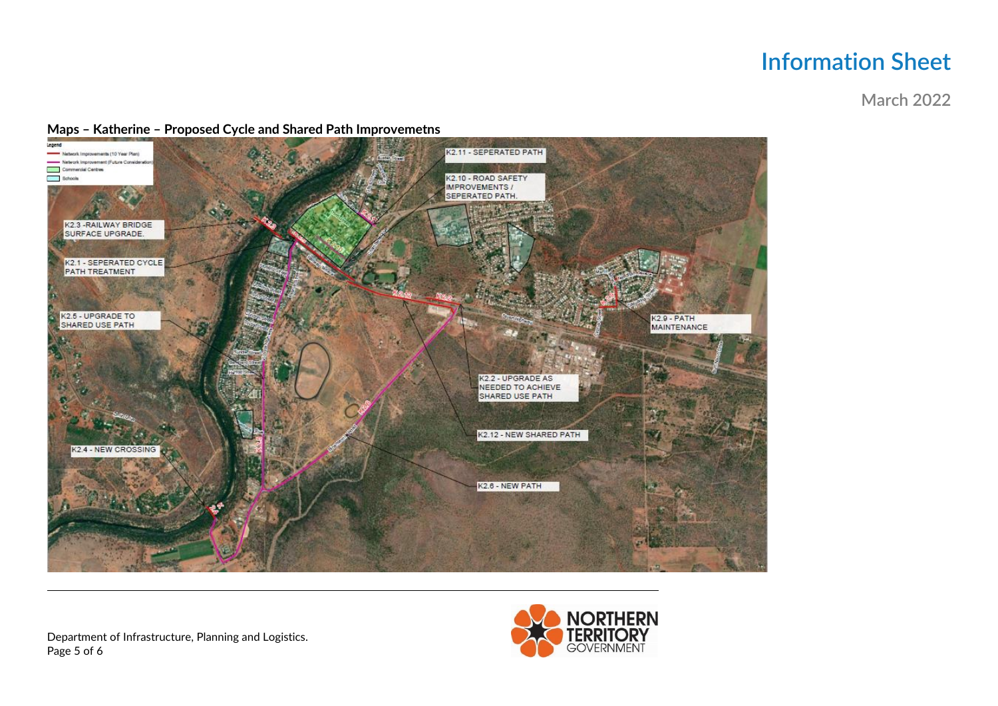## **Information Sheet**

**March 2022** 

## Maps - Katherine - Proposed Cycle and Shared Path Improvemetns



Department of Infrastructure, Planning and Logistics. Page 5 of 6